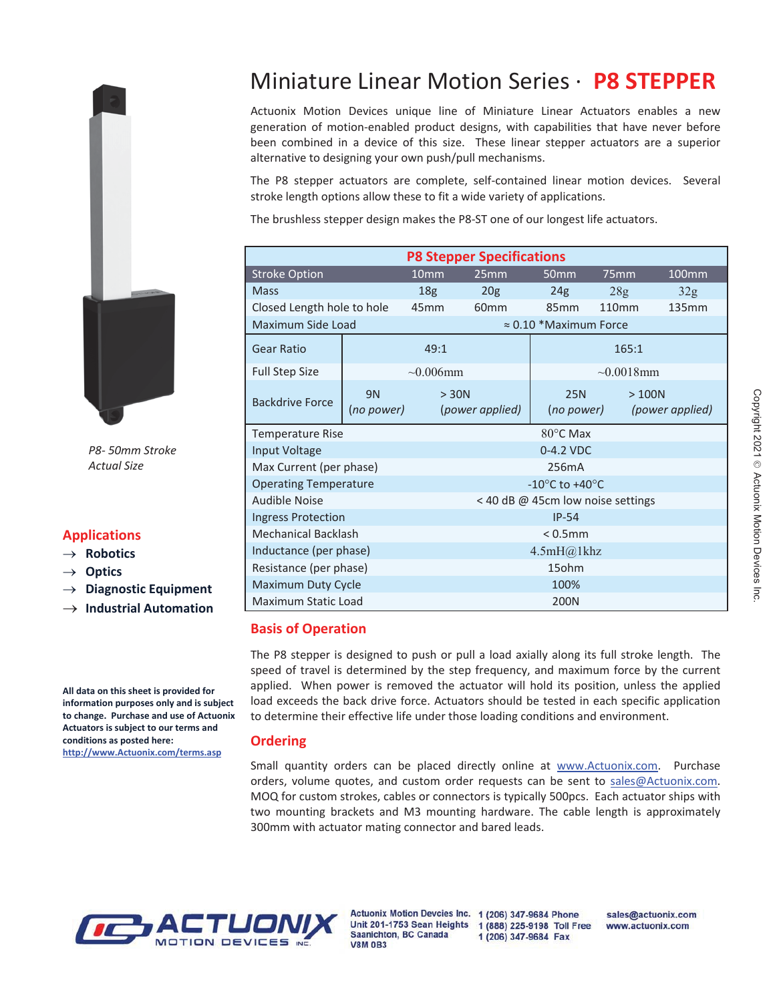

*Actual Size*

# **Applications**

- $\rightarrow$  Robotics
- $\rightarrow$  Optics
- $\rightarrow$  Diagnostic Equipment
- $\rightarrow$  **Industrial Automation**

**All data on this sheet is provided for information purposes only and is subject to change.Purchase and use of Actuonix Actuators is subject to our terms and conditions as posted here: http://www.Actuonix.com/terms.asp**

# **Miniature Linear Motion Series · P8 STEPPER**

Actuonix Motion Devices unique line of Miniature Linear Actuators enables a new generation of motion-enabled product designs, with capabilities that have never before been combined in a device of this size. These linear stepper actuators are a superior alternative to designing your own push/pull mechanisms.

The P8 stepper actuators are complete, self-contained linear motion devices. Several stroke length options allow these to fit a wide variety of applications.

The brushless stepper design makes the P8-ST one of our longest life actuators.

| <b>P8 Stepper Specifications</b> |                               |                                    |                  |                          |                  |                          |  |  |
|----------------------------------|-------------------------------|------------------------------------|------------------|--------------------------|------------------|--------------------------|--|--|
| <b>Stroke Option</b>             |                               | 10 <sub>mm</sub>                   | 25mm             | 50 <sub>mm</sub>         | 75 <sub>mm</sub> | 100mm                    |  |  |
| <b>Mass</b>                      |                               | 18 <sub>g</sub>                    | 20 <sub>g</sub>  | 24g                      | 28g              | 32g                      |  |  |
| Closed Length hole to hole       |                               | 45mm                               | 60 <sub>mm</sub> | 85 <sub>mm</sub>         | 110mm            | 135mm                    |  |  |
| Maximum Side Load                | $\approx 0.10$ *Maximum Force |                                    |                  |                          |                  |                          |  |  |
| <b>Gear Ratio</b>                |                               | 49:1                               |                  | 165:1                    |                  |                          |  |  |
| <b>Full Step Size</b>            | $\sim 0.006$ mm               |                                    |                  | $\sim 0.0018$ mm         |                  |                          |  |  |
| <b>Backdrive Force</b>           | <b>9N</b><br>(no power)       | > 30N                              | (power applied)  | <b>25N</b><br>(no power) |                  | >100N<br>(power applied) |  |  |
| <b>Temperature Rise</b>          | $80^{\circ}$ C Max            |                                    |                  |                          |                  |                          |  |  |
| Input Voltage                    | $0-4.2$ VDC                   |                                    |                  |                          |                  |                          |  |  |
| Max Current (per phase)          | 256mA                         |                                    |                  |                          |                  |                          |  |  |
| <b>Operating Temperature</b>     |                               | -10 $\degree$ C to +40 $\degree$ C |                  |                          |                  |                          |  |  |
| Audible Noise                    |                               | < 40 dB @ 45cm low noise settings  |                  |                          |                  |                          |  |  |
| <b>Ingress Protection</b>        |                               | $IP-54$                            |                  |                          |                  |                          |  |  |
| Mechanical Backlash              |                               | $< 0.5$ mm                         |                  |                          |                  |                          |  |  |
| Inductance (per phase)           |                               | 4.5mH@1khz                         |                  |                          |                  |                          |  |  |
| Resistance (per phase)           |                               | 15ohm                              |                  |                          |                  |                          |  |  |
| <b>Maximum Duty Cycle</b>        |                               | 100%                               |                  |                          |                  |                          |  |  |
| Maximum Static Load              |                               | 200N                               |                  |                          |                  |                          |  |  |

#### **Basis of Operation**

The P8 stepper is designed to push or pull a load axially along its full stroke length. The speed of travel is determined by the step frequency, and maximum force by the current applied. When power is removed the actuator will hold its position, unless the applied load exceeds the back drive force. Actuators should be tested in each specific application to determine their effective life under those loading conditions and environment.

#### **Ordering**

Small quantity orders can be placed directly online at www.Actuonix.com. Purchase orders, volume quotes, and custom order requests can be sent to sales@Actuonix.com. MOQ for custom strokes, cables or connectors is typically 500pcs. Each actuator ships with two mounting brackets and M3 mounting hardware. The cable length is approximately 300mm with actuator mating connector and bared leads.



Unit 201-1753 Sean Heights 1 (888) 225-9198 Toll Free **Saanichton, BC Canada V8M 0B3** 

Actuonix Motion Devcies Inc. 1 (206) 347-9684 Phone 1 (206) 347-9684 Fax

sales@actuonix.com www.actuonix.com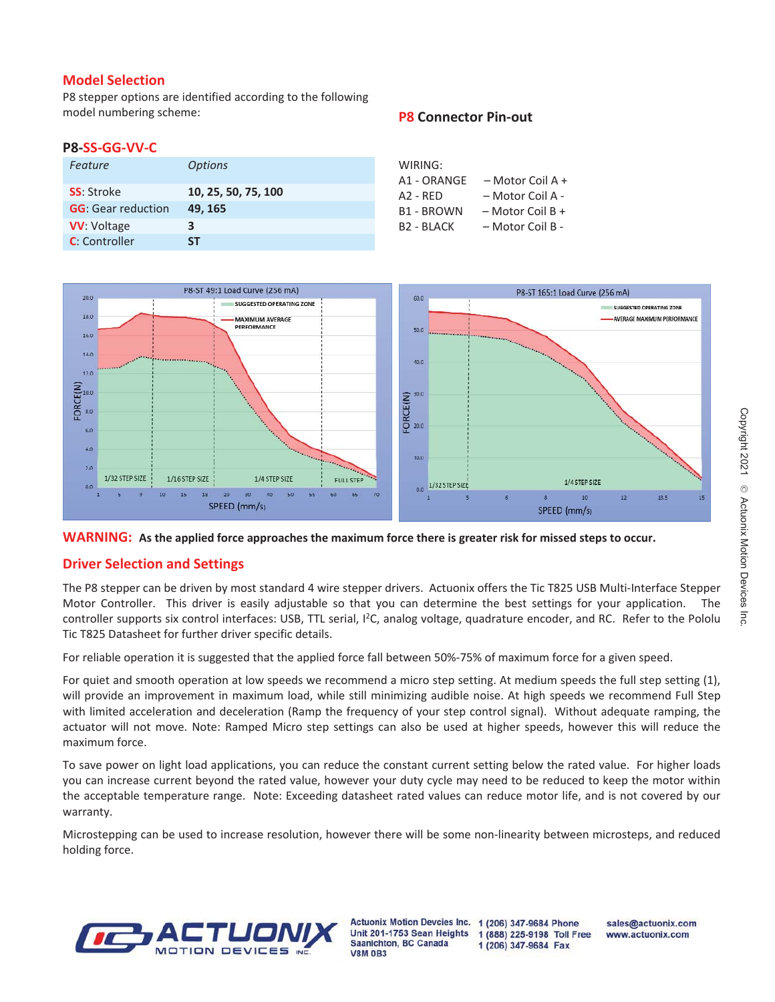## **Model Selection**

**P8ͲSSͲGGͲVVͲC**

P8 stepper options are identified according to the following model numbering scheme:

## **P8** Connector Pin-out

| 60-JJ-00-VV-C              |                     |                        |                    |
|----------------------------|---------------------|------------------------|--------------------|
| Feature                    | <i>Options</i>      | WIRING:                |                    |
|                            |                     | A1 - ORANGE            | – Motor Coil A +   |
| <b>SS: Stroke</b>          | 10, 25, 50, 75, 100 | $A2 - RFD$             | – Motor Coil A -   |
| <b>GG</b> : Gear reduction | 49.165              | B1 - BROWN             | $-$ Motor Coil B + |
| <b>VV: Voltage</b>         | 3                   | B <sub>2</sub> - BLACK | – Motor Coil B -   |
| C: Controller              | ST                  |                        |                    |
|                            |                     |                        |                    |





### **Driver Selection and Settings**

The P8 stepper can be driven by most standard 4 wire stepper drivers. Actuonix offers the Tic T825 USB Multi-Interface Stepper Motor Controller. This driver is easily adjustable so that you can determine the best settings for your application. The controller supports six control interfaces: USB, TTL serial, I<sup>2</sup>C, analog voltage, quadrature encoder, and RC. Refer to the Pololu Tic T825 Datasheet for further driver specific details.

For reliable operation it is suggested that the applied force fall between 50%-75% of maximum force for a given speed.

For quiet and smooth operation at low speeds we recommend a micro step setting. At medium speeds the full step setting (1), will provide an improvement in maximum load, while still minimizing audible noise. At high speeds we recommend Full Step with limited acceleration and deceleration (Ramp the frequency of your step control signal). Without adequate ramping, the actuator will not move. Note: Ramped Micro step settings can also be used at higher speeds, however this will reduce the maximum force.

To save power on light load applications, you can reduce the constant current setting below the rated value. For higher loads you can increase current beyond the rated value, however your duty cycle may need to be reduced to keep the motor within the acceptable temperature range. Note: Exceeding datasheet rated values can reduce motor life, and is not covered by our warranty.

Microstepping can be used to increase resolution, however there will be some non-linearity between microsteps, and reduced holding force.



**Actuonix Motion Devcies Inc.** Unit 201-1753 Sean Heights **Saanichton, BC Canada V8M 0B3** 

1 (206) 347-9684 Phone 1 (888) 225-9198 Toll Free 1 (206) 347-9684 Fax

sales@actuonix.com www.actuonix.com